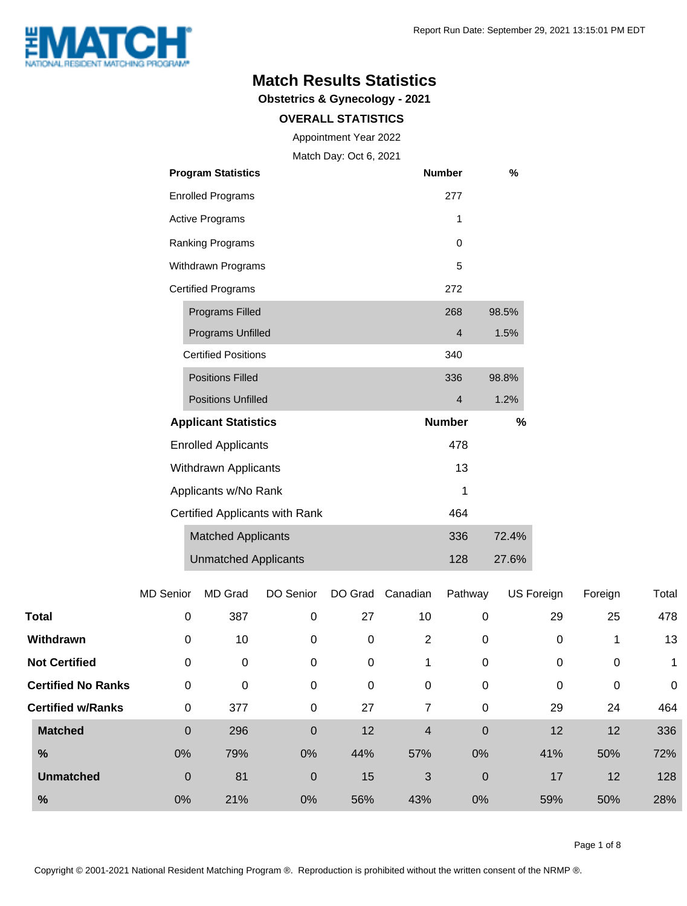

#### **Match Results Statistics**

**Obstetrics & Gynecology - 2021**

#### **OVERALL STATISTICS**

Appointment Year 2022

Match Day: Oct 6, 2021

| <b>Program Statistics</b>      | <b>Number</b>  | %     |
|--------------------------------|----------------|-------|
| <b>Enrolled Programs</b>       | 277            |       |
| <b>Active Programs</b>         | 1              |       |
| Ranking Programs               | 0              |       |
| Withdrawn Programs             | 5              |       |
| <b>Certified Programs</b>      | 272            |       |
| <b>Programs Filled</b>         | 268            | 98.5% |
| <b>Programs Unfilled</b>       | $\overline{4}$ | 1.5%  |
| <b>Certified Positions</b>     | 340            |       |
| <b>Positions Filled</b>        | 336            | 98.8% |
| <b>Positions Unfilled</b>      | $\overline{4}$ | 1.2%  |
| <b>Applicant Statistics</b>    | <b>Number</b>  | %     |
| <b>Enrolled Applicants</b>     | 478            |       |
| Withdrawn Applicants           | 13             |       |
| Applicants w/No Rank           | 1              |       |
| Certified Applicants with Rank | 464            |       |
| <b>Matched Applicants</b>      | 336            | 72.4% |
| <b>Unmatched Applicants</b>    | 128            | 27.6% |

|       |                           | <b>MD Senior</b> | MD Grad | DO Senior   | DO Grad     | Canadian       | Pathway     | US Foreign | Foreign     | Total       |
|-------|---------------------------|------------------|---------|-------------|-------------|----------------|-------------|------------|-------------|-------------|
| Total |                           | 0                | 387     | 0           | 27          | 10             | 0           | 29         | 25          | 478         |
|       | Withdrawn                 | 0                | 10      | 0           | 0           | 2              | 0           | 0          | 1           | 13          |
|       | <b>Not Certified</b>      | 0                | 0       | 0           | $\mathbf 0$ | 1              | 0           | 0          | $\mathbf 0$ | 1           |
|       | <b>Certified No Ranks</b> | 0                | 0       | 0           | 0           | $\mathbf 0$    | 0           | 0          | $\mathbf 0$ | $\mathbf 0$ |
|       | <b>Certified w/Ranks</b>  | 0                | 377     | 0           | 27          | 7              | 0           | 29         | 24          | 464         |
|       | <b>Matched</b>            | $\mathbf 0$      | 296     | $\mathbf 0$ | 12          | $\overline{4}$ | $\mathbf 0$ | 12         | 12          | 336         |
| %     |                           | 0%               | 79%     | 0%          | 44%         | 57%            | 0%          | 41%        | 50%         | 72%         |
|       | <b>Unmatched</b>          | $\mathbf 0$      | 81      | $\mathbf 0$ | 15          | 3              | $\mathbf 0$ | 17         | 12          | 128         |
| %     |                           | 0%               | 21%     | 0%          | 56%         | 43%            | 0%          | 59%        | 50%         | 28%         |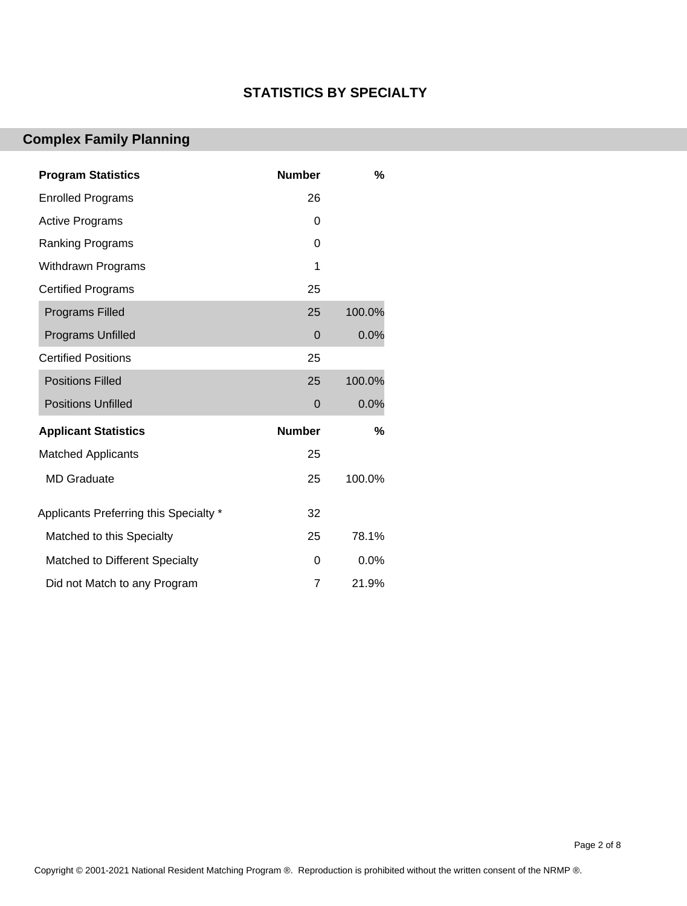#### **STATISTICS BY SPECIALTY**

### **Complex Family Planning**

| <b>Program Statistics</b>              | <b>Number</b> | %      |
|----------------------------------------|---------------|--------|
| <b>Enrolled Programs</b>               | 26            |        |
| <b>Active Programs</b>                 | 0             |        |
| <b>Ranking Programs</b>                | 0             |        |
| <b>Withdrawn Programs</b>              | 1             |        |
| <b>Certified Programs</b>              | 25            |        |
| <b>Programs Filled</b>                 | 25            | 100.0% |
| <b>Programs Unfilled</b>               | $\mathbf 0$   | 0.0%   |
| <b>Certified Positions</b>             | 25            |        |
| <b>Positions Filled</b>                | 25            | 100.0% |
| <b>Positions Unfilled</b>              | $\mathbf 0$   | 0.0%   |
| <b>Applicant Statistics</b>            | <b>Number</b> | %      |
| <b>Matched Applicants</b>              | 25            |        |
| <b>MD Graduate</b>                     | 25            | 100.0% |
| Applicants Preferring this Specialty * | 32            |        |
| Matched to this Specialty              | 25            | 78.1%  |
| Matched to Different Specialty         | 0             | 0.0%   |
| Did not Match to any Program           | 7             | 21.9%  |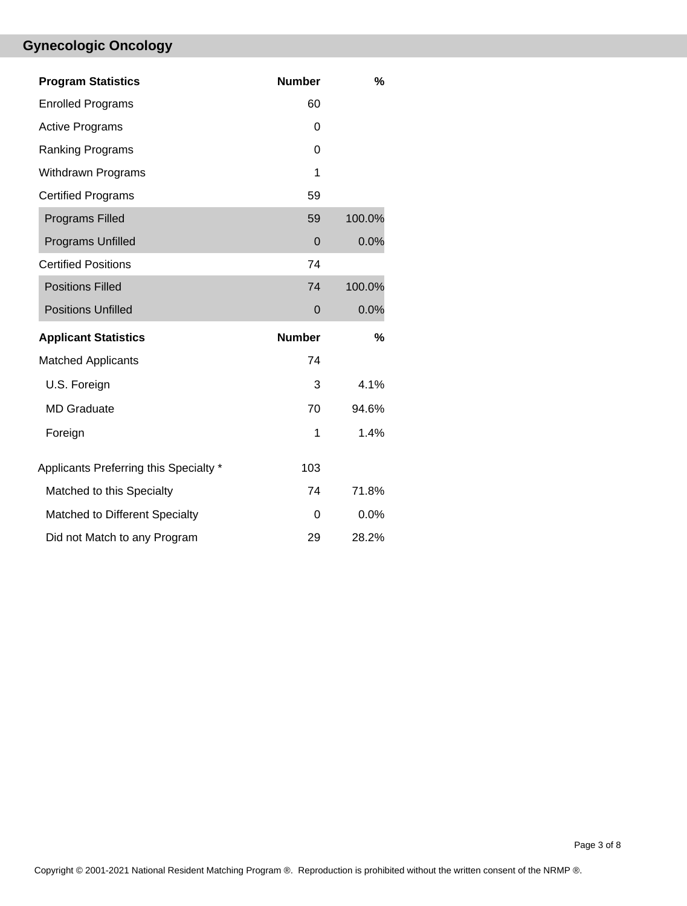# **Gynecologic Oncology**

| <b>Program Statistics</b>              | <b>Number</b> | %      |
|----------------------------------------|---------------|--------|
| <b>Enrolled Programs</b>               | 60            |        |
| <b>Active Programs</b>                 | 0             |        |
| Ranking Programs                       | 0             |        |
| <b>Withdrawn Programs</b>              | 1             |        |
| <b>Certified Programs</b>              | 59            |        |
| <b>Programs Filled</b>                 | 59            | 100.0% |
| <b>Programs Unfilled</b>               | $\Omega$      | 0.0%   |
| <b>Certified Positions</b>             | 74            |        |
| <b>Positions Filled</b>                | 74            | 100.0% |
| <b>Positions Unfilled</b>              | $\mathbf 0$   | 0.0%   |
| <b>Applicant Statistics</b>            | <b>Number</b> | %      |
| <b>Matched Applicants</b>              | 74            |        |
| U.S. Foreign                           | 3             | 4.1%   |
| <b>MD</b> Graduate                     | 70            | 94.6%  |
| Foreign                                | 1             | 1.4%   |
| Applicants Preferring this Specialty * | 103           |        |
| Matched to this Specialty              | 74            | 71.8%  |
| Matched to Different Specialty         | 0             | 0.0%   |
| Did not Match to any Program           | 29            | 28.2%  |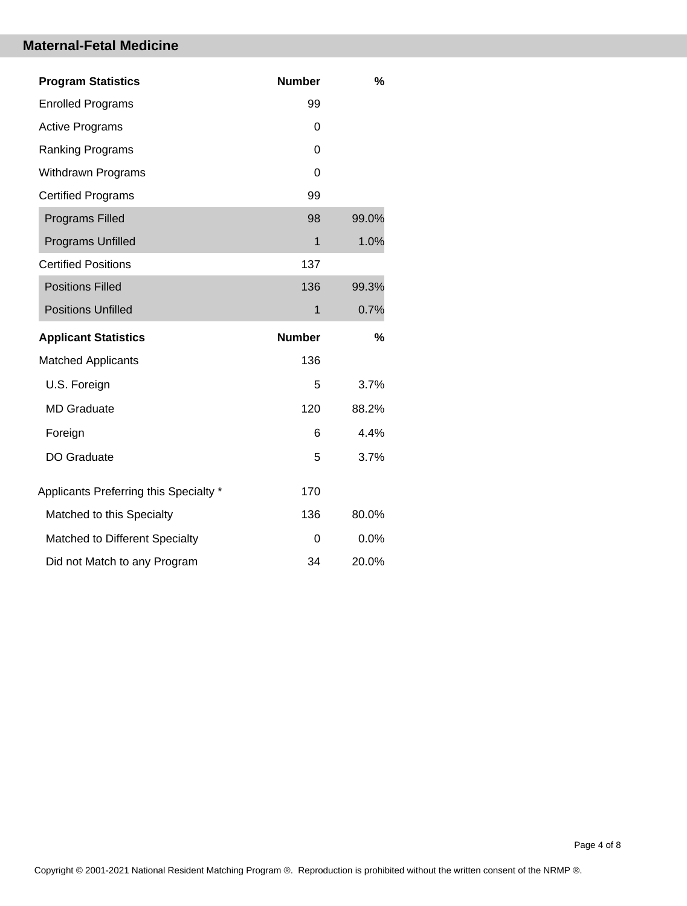#### **Maternal-Fetal Medicine**

| <b>Program Statistics</b>              | <b>Number</b> | %     |
|----------------------------------------|---------------|-------|
| <b>Enrolled Programs</b>               | 99            |       |
| <b>Active Programs</b>                 | 0             |       |
| <b>Ranking Programs</b>                | 0             |       |
| <b>Withdrawn Programs</b>              | 0             |       |
| <b>Certified Programs</b>              | 99            |       |
| <b>Programs Filled</b>                 | 98            | 99.0% |
| <b>Programs Unfilled</b>               | $\mathbf{1}$  | 1.0%  |
| <b>Certified Positions</b>             | 137           |       |
| <b>Positions Filled</b>                | 136           | 99.3% |
| <b>Positions Unfilled</b>              | 1             | 0.7%  |
|                                        |               |       |
| <b>Applicant Statistics</b>            | <b>Number</b> | %     |
| <b>Matched Applicants</b>              | 136           |       |
| U.S. Foreign                           | 5             | 3.7%  |
| <b>MD Graduate</b>                     | 120           | 88.2% |
| Foreign                                | 6             | 4.4%  |
| <b>DO Graduate</b>                     | 5             | 3.7%  |
| Applicants Preferring this Specialty * | 170           |       |
| Matched to this Specialty              | 136           | 80.0% |
| Matched to Different Specialty         | $\Omega$      | 0.0%  |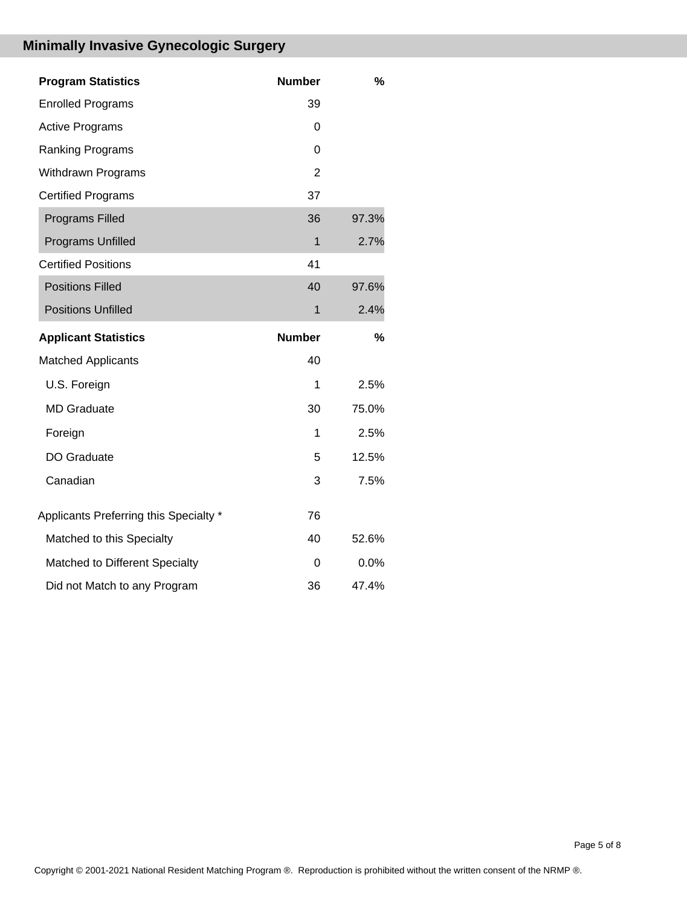# **Minimally Invasive Gynecologic Surgery**

| <b>Program Statistics</b>              | <b>Number</b>  | %     |
|----------------------------------------|----------------|-------|
| <b>Enrolled Programs</b>               | 39             |       |
| <b>Active Programs</b>                 | 0              |       |
| Ranking Programs                       | 0              |       |
| <b>Withdrawn Programs</b>              | $\overline{2}$ |       |
| <b>Certified Programs</b>              | 37             |       |
| <b>Programs Filled</b>                 | 36             | 97.3% |
| Programs Unfilled                      | $\mathbf{1}$   | 2.7%  |
| <b>Certified Positions</b>             | 41             |       |
| <b>Positions Filled</b>                | 40             | 97.6% |
| <b>Positions Unfilled</b>              | $\mathbf{1}$   | 2.4%  |
|                                        |                |       |
| <b>Applicant Statistics</b>            | <b>Number</b>  | %     |
| <b>Matched Applicants</b>              | 40             |       |
| U.S. Foreign                           | 1              | 2.5%  |
| <b>MD</b> Graduate                     | 30             | 75.0% |
| Foreign                                | 1              | 2.5%  |
| DO Graduate                            | 5              | 12.5% |
| Canadian                               | 3              | 7.5%  |
| Applicants Preferring this Specialty * | 76             |       |
| Matched to this Specialty              | 40             | 52.6% |
| Matched to Different Specialty         | 0              | 0.0%  |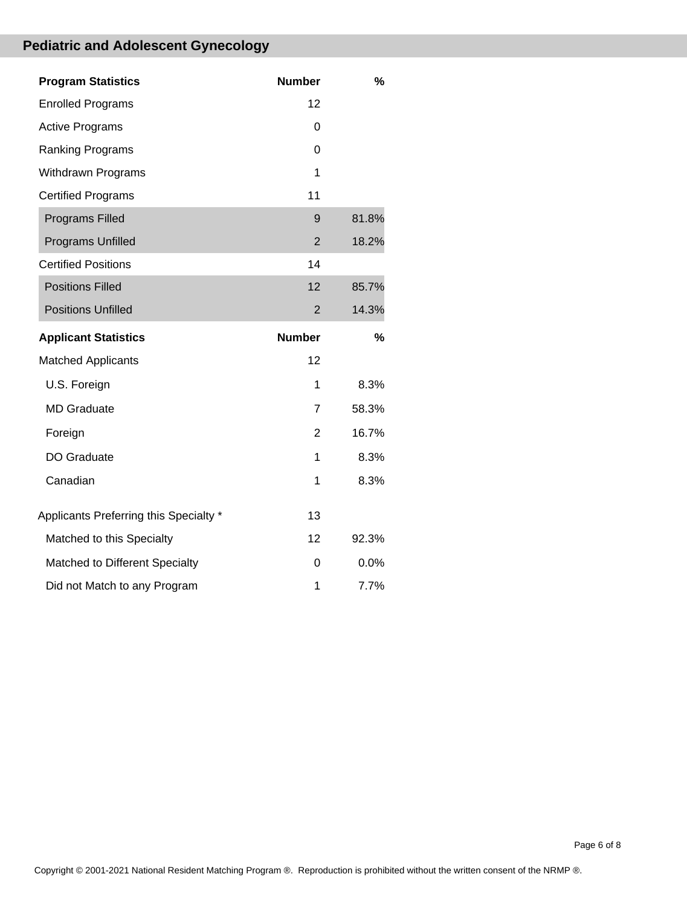# **Pediatric and Adolescent Gynecology**

| <b>Program Statistics</b>              | <b>Number</b>  | %     |
|----------------------------------------|----------------|-------|
| <b>Enrolled Programs</b>               | 12             |       |
| <b>Active Programs</b>                 | 0              |       |
| Ranking Programs                       | 0              |       |
| <b>Withdrawn Programs</b>              | 1              |       |
| <b>Certified Programs</b>              | 11             |       |
| <b>Programs Filled</b>                 | 9              | 81.8% |
| <b>Programs Unfilled</b>               | $\overline{2}$ | 18.2% |
| <b>Certified Positions</b>             | 14             |       |
| <b>Positions Filled</b>                | 12             | 85.7% |
| <b>Positions Unfilled</b>              | 2              | 14.3% |
|                                        |                |       |
| <b>Applicant Statistics</b>            | <b>Number</b>  | %     |
| <b>Matched Applicants</b>              | 12             |       |
| U.S. Foreign                           | 1              | 8.3%  |
| <b>MD</b> Graduate                     | $\overline{7}$ | 58.3% |
| Foreign                                | $\overline{2}$ | 16.7% |
| DO Graduate                            | 1              | 8.3%  |
| Canadian                               | 1              | 8.3%  |
| Applicants Preferring this Specialty * | 13             |       |
| Matched to this Specialty              | 12             | 92.3% |
| Matched to Different Specialty         | $\Omega$       | 0.0%  |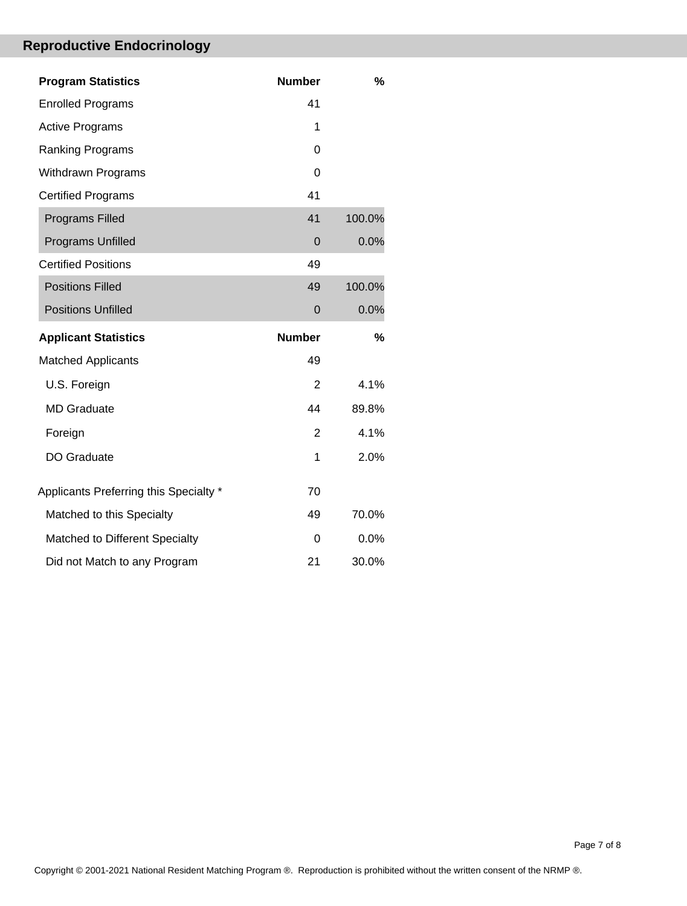# **Reproductive Endocrinology**

| <b>Program Statistics</b>              | <b>Number</b>  | %      |
|----------------------------------------|----------------|--------|
| <b>Enrolled Programs</b>               | 41             |        |
| <b>Active Programs</b>                 | 1              |        |
| Ranking Programs                       | $\Omega$       |        |
| <b>Withdrawn Programs</b>              | $\Omega$       |        |
| <b>Certified Programs</b>              | 41             |        |
| <b>Programs Filled</b>                 | 41             | 100.0% |
| Programs Unfilled                      | $\overline{0}$ | 0.0%   |
| <b>Certified Positions</b>             | 49             |        |
| <b>Positions Filled</b>                | 49             | 100.0% |
| <b>Positions Unfilled</b>              | $\Omega$       | 0.0%   |
|                                        |                |        |
| <b>Applicant Statistics</b>            | <b>Number</b>  | %      |
| <b>Matched Applicants</b>              | 49             |        |
| U.S. Foreign                           | 2              | 4.1%   |
| <b>MD Graduate</b>                     | 44             | 89.8%  |
| Foreign                                | $\overline{2}$ | 4.1%   |
| DO Graduate                            | 1              | 2.0%   |
| Applicants Preferring this Specialty * | 70             |        |
| Matched to this Specialty              | 49             | 70.0%  |
| Matched to Different Specialty         | $\Omega$       | 0.0%   |